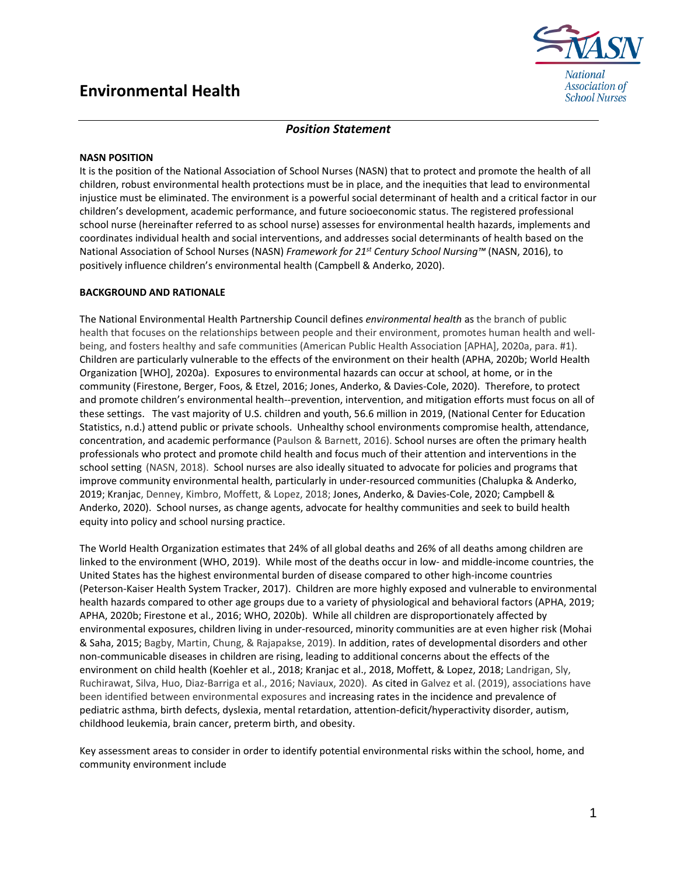# **Environmental Health**



## *Position Statement*

#### **NASN POSITION**

It is the position of the National Association of School Nurses (NASN) that to protect and promote the health of all children, robust environmental health protections must be in place, and the inequities that lead to environmental injustice must be eliminated. The environment is a powerful social determinant of health and a critical factor in our children's development, academic performance, and future socioeconomic status. The registered professional school nurse (hereinafter referred to as school nurse) assesses for environmental health hazards, implements and coordinates individual health and social interventions, and addresses social determinants of health based on the National Association of School Nurses (NASN) *Framework for 21st Century School Nursing™* (NASN, 2016), to positively influence children's environmental health (Campbell & Anderko, 2020).

### **BACKGROUND AND RATIONALE**

The National Environmental Health Partnership Council defines *environmental health* as the branch of public health that focuses on the relationships between people and their environment, promotes human health and wellbeing, and fosters healthy and safe communities (American Public Health Association [APHA], 2020a, para. #1). Children are particularly vulnerable to the effects of the environment on their health (APHA, 2020b; World Health Organization [WHO], 2020a). Exposures to environmental hazards can occur at school, at home, or in the community (Firestone, Berger, Foos, & Etzel, 2016; Jones, Anderko, & Davies-Cole, 2020). Therefore, to protect and promote children's environmental health--prevention, intervention, and mitigation efforts must focus on all of these settings. The vast majority of U.S. children and youth, 56.6 million in 2019, (National Center for Education Statistics, n.d.) attend public or private schools. Unhealthy school environments compromise health, attendance, concentration, and academic performance (Paulson & Barnett, 2016). School nurses are often the primary health professionals who protect and promote child health and focus much of their attention and interventions in the school setting (NASN, 2018). School nurses are also ideally situated to advocate for policies and programs that improve community environmental health, particularly in under-resourced communities (Chalupka & Anderko, 2019; Kranjac, Denney, Kimbro, Moffett, & Lopez, 2018; Jones, Anderko, & Davies-Cole, 2020; Campbell & Anderko, 2020). School nurses, as change agents, advocate for healthy communities and seek to build health equity into policy and school nursing practice.

The World Health Organization estimates that 24% of all global deaths and 26% of all deaths among children are linked to the environment (WHO, 2019). While most of the deaths occur in low- and middle-income countries, the United States has the highest environmental burden of disease compared to other high-income countries (Peterson-Kaiser Health System Tracker, 2017). Children are more highly exposed and vulnerable to environmental health hazards compared to other age groups due to a variety of physiological and behavioral factors (APHA, 2019; APHA, 2020b; Firestone et al., 2016; WHO, 2020b). While all children are disproportionately affected by environmental exposures, children living in under-resourced, minority communities are at even higher risk (Mohai & Saha, 2015; Bagby, Martin, Chung, & Rajapakse, 2019). In addition, rates of developmental disorders and other non-communicable diseases in children are rising, leading to additional concerns about the effects of the environment on child health (Koehler et al., 2018; Kranjac et al., 2018, Moffett, & Lopez, 2018; Landrigan, Sly, Ruchirawat, Silva, Huo, Diaz-Barriga et al., 2016; Naviaux, 2020). As cited in Galvez et al. (2019), associations have been identified between environmental exposures and increasing rates in the incidence and prevalence of pediatric asthma, birth defects, dyslexia, mental retardation, attention-deficit/hyperactivity disorder, autism, childhood leukemia, brain cancer, preterm birth, and obesity.

Key assessment areas to consider in order to identify potential environmental risks within the school, home, and community environment include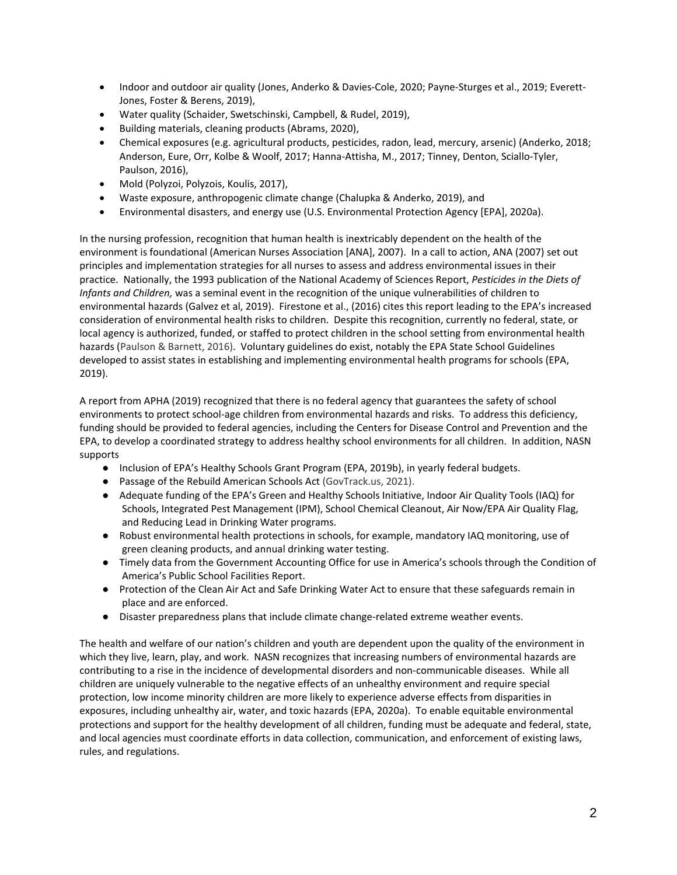- Indoor and outdoor air quality (Jones, Anderko & Davies-Cole, 2020; Payne-Sturges et al., 2019; Everett-Jones, Foster & Berens, 2019),
- Water quality (Schaider, Swetschinski, Campbell, & Rudel, 2019),
- Building materials, cleaning products (Abrams, 2020),
- Chemical exposures (e.g. agricultural products, pesticides, radon, lead, mercury, arsenic) (Anderko, 2018; Anderson, Eure, Orr, Kolbe & Woolf, 2017; Hanna-Attisha, M., 2017; Tinney, Denton, Sciallo-Tyler, Paulson, 2016),
- Mold (Polyzoi, Polyzois, Koulis, 2017),
- Waste exposure, anthropogenic climate change (Chalupka & Anderko, 2019), and
- Environmental disasters, and energy use (U.S. Environmental Protection Agency [EPA], 2020a).

In the nursing profession, recognition that human health is inextricably dependent on the health of the environment is foundational (American Nurses Association [ANA], 2007). In a call to action, ANA (2007) set out principles and implementation strategies for all nurses to assess and address environmental issues in their practice. Nationally, the 1993 publication of the National Academy of Sciences Report, *Pesticides in the Diets of Infants and Children,* was a seminal event in the recognition of the unique vulnerabilities of children to environmental hazards (Galvez et al, 2019). Firestone et al., (2016) cites this report leading to the EPA's increased consideration of environmental health risks to children. Despite this recognition, currently no federal, state, or local agency is authorized, funded, or staffed to protect children in the school setting from environmental health hazards (Paulson & Barnett, 2016). Voluntary guidelines do exist, notably the EPA State School Guidelines developed to assist states in establishing and implementing environmental health programs for schools (EPA, 2019).

A report from APHA (2019) recognized that there is no federal agency that guarantees the safety of school environments to protect school-age children from environmental hazards and risks. To address this deficiency, funding should be provided to federal agencies, including the Centers for Disease Control and Prevention and the EPA, to develop a coordinated strategy to address healthy school environments for all children. In addition, NASN supports

- Inclusion of EPA's Healthy Schools Grant Program (EPA, 2019b), in yearly federal budgets.
- Passage of the Rebuild American Schools Act (GovTrack.us, 2021).
- Adequate funding of the EPA's Green and Healthy Schools Initiative, Indoor Air Quality Tools (IAQ) for Schools, Integrated Pest Management (IPM), School Chemical Cleanout, Air Now/EPA Air Quality Flag, and Reducing Lead in Drinking Water programs.
- Robust environmental health protections in schools, for example, mandatory IAQ monitoring, use of green cleaning products, and annual drinking water testing.
- Timely data from the Government Accounting Office for use in America's schools through the Condition of America's Public School Facilities Report.
- Protection of the Clean Air Act and Safe Drinking Water Act to ensure that these safeguards remain in place and are enforced.
- Disaster preparedness plans that include climate change-related extreme weather events.

The health and welfare of our nation's children and youth are dependent upon the quality of the environment in which they live, learn, play, and work. NASN recognizes that increasing numbers of environmental hazards are contributing to a rise in the incidence of developmental disorders and non-communicable diseases. While all children are uniquely vulnerable to the negative effects of an unhealthy environment and require special protection, low income minority children are more likely to experience adverse effects from disparities in exposures, including unhealthy air, water, and toxic hazards (EPA, 2020a). To enable equitable environmental protections and support for the healthy development of all children, funding must be adequate and federal, state, and local agencies must coordinate efforts in data collection, communication, and enforcement of existing laws, rules, and regulations.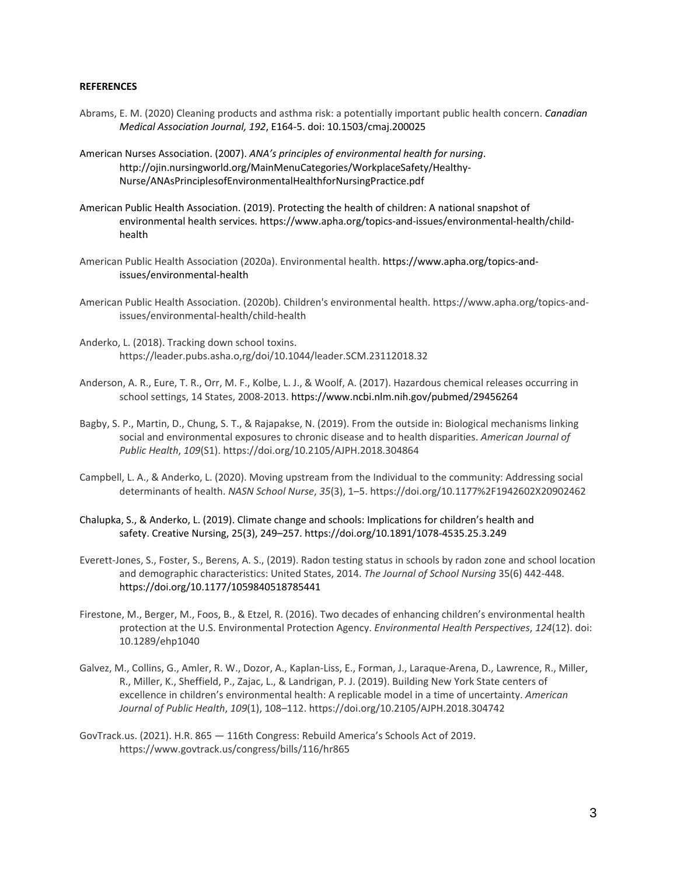#### **REFERENCES**

- Abrams, E. M. (2020) Cleaning products and asthma risk: a potentially important public health concern. *Canadian Medical Association Journal, 192*, E164-5. doi: 10.1503/cmaj.200025
- American Nurses Association. (2007). *ANA's principles of environmental health for nursing*. http://ojin.nursingworld.org/MainMenuCategories/WorkplaceSafety/Healthy-Nurse/ANAsPrinciplesofEnvironmentalHealthforNursingPractice.pdf
- American Public Health Association. (2019). Protecting the health of children: A national snapshot of environmental health services. https://www.apha.org/topics-and-issues/environmental-health/childhealth
- American Public Health Association (2020a). Environmental health. [https://www.apha.org/topics-and](https://www.apha.org/topics-and-issues/environmental-health)[issues/environmental-health](https://www.apha.org/topics-and-issues/environmental-health)
- American Public Health Association. (2020b). Children's environmental health. https://www.apha.org/topics-andissues/environmental-health/child-health
- Anderko, L. (2018). Tracking down school toxins. https://leader.pubs.asha.o,rg/doi/10.1044/leader.SCM.23112018.32
- Anderson, A. R., Eure, T. R., Orr, M. F., Kolbe, L. J., & Woolf, A. (2017). Hazardous chemical releases occurring in school settings, 14 States, 2008-2013[. https://www.ncbi.nlm.nih.gov/pubmed/29456264](https://www.ncbi.nlm.nih.gov/pubmed/29456264)
- Bagby, S. P., Martin, D., Chung, S. T., & Rajapakse, N. (2019). From the outside in: Biological mechanisms linking social and environmental exposures to chronic disease and to health disparities. *American Journal of Public Health*, *109*(S1). https://doi.org/10.2105/AJPH.2018.304864
- Campbell, L. A., & Anderko, L. (2020). Moving upstream from the Individual to the community: Addressing social determinants of health. *NASN School Nurse*, *35*(3), 1–5. https://doi.org/10.1177%2F1942602X20902462
- Chalupka, S., & Anderko, L. (2019). Climate change and schools: Implications for children's health and safety. Creative Nursing, 25(3), 249–257[. https://doi.org/10.1891/1078-4535.25.3.2](https://doi.org/10.1891/1078-4535.25.3.249)49
- Everett-Jones, S., Foster, S., Berens, A. S., (2019). Radon testing status in schools by radon zone and school location and demographic characteristics: United States, 2014. *The Journal of School Nursing* 35(6) 442-448. [https://doi.org/10.1177/1059840518785441](https://doi.org/10.1177%2F1059840518785441)
- Firestone, M., Berger, M., Foos, B., & Etzel, R. (2016). Two decades of enhancing children's environmental health protection at the U.S. Environmental Protection Agency. *Environmental Health Perspectives*, *124*(12). doi: 10.1289/ehp1040
- Galvez, M., Collins, G., Amler, R. W., Dozor, A., Kaplan-Liss, E., Forman, J., Laraque-Arena, D., Lawrence, R., Miller, R., Miller, K., Sheffield, P., Zajac, L., & Landrigan, P. J. (2019). Building New York State centers of excellence in children's environmental health: A replicable model in a time of uncertainty. *American Journal of Public Health*, *109*(1), 108–112. https://doi.org/10.2105/AJPH.2018.304742
- GovTrack.us. (2021). H.R. 865 116th Congress: Rebuild America's Schools Act of 2019. https://www.govtrack.us/congress/bills/116/hr865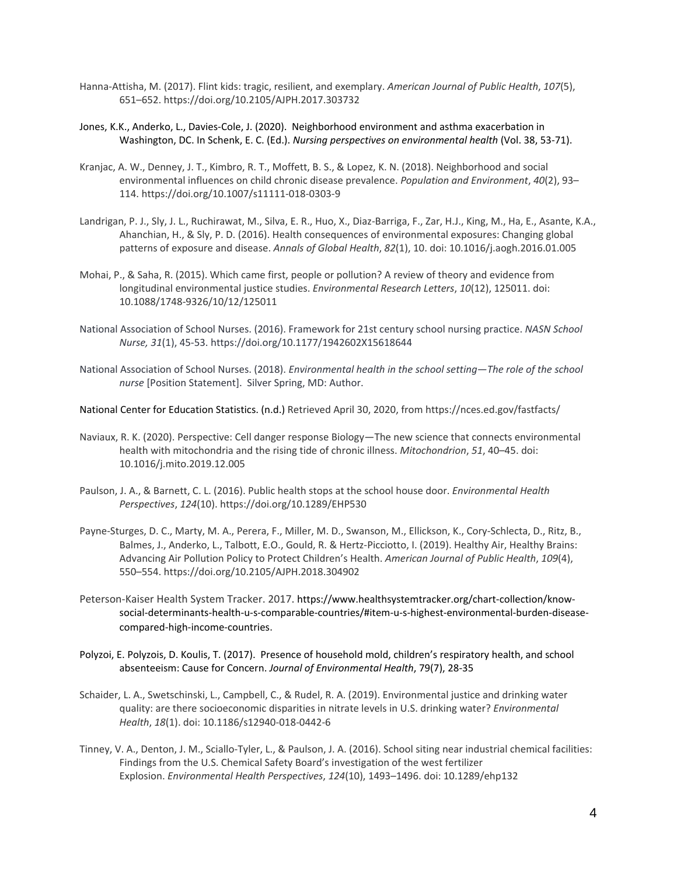- Hanna-Attisha, M. (2017). Flint kids: tragic, resilient, and exemplary. *American Journal of Public Health*, *107*(5), 651–652. https://doi.org/10.2105/AJPH.2017.303732
- Jones, K.K., Anderko, L., Davies-Cole, J. (2020). Neighborhood environment and asthma exacerbation in Washington, DC. In Schenk, E. C. (Ed.). *Nursing perspectives on environmental health* (Vol. 38, 53-71).
- Kranjac, A. W., Denney, J. T., Kimbro, R. T., Moffett, B. S., & Lopez, K. N. (2018). Neighborhood and social environmental influences on child chronic disease prevalence. *Population and Environment*, *40*(2), 93– 114. https://doi.org/10.1007/s11111-018-0303-9
- Landrigan, P. J., Sly, J. L., Ruchirawat, M., Silva, E. R., Huo, X., Diaz-Barriga, F., Zar, H.J., King, M., Ha, E., Asante, K.A., Ahanchian, H., & Sly, P. D. (2016). Health consequences of environmental exposures: Changing global patterns of exposure and disease. *Annals of Global Health*, *82*(1), 10. doi: 10.1016/j.aogh.2016.01.005
- Mohai, P., & Saha, R. (2015). Which came first, people or pollution? A review of theory and evidence from longitudinal environmental justice studies. *Environmental Research Letters*, *10*(12), 125011. doi: 10.1088/1748-9326/10/12/125011
- National Association of School Nurses. (2016). Framework for 21st century school nursing practice. *NASN School Nurse, 31*(1), 45-53. https://doi.org/10.1177/1942602X15618644
- National Association of School Nurses. (2018). *Environmental health in the school setting—The role of the school nurse* [Position Statement].Silver Spring, MD: Author.

National Center for Education Statistics. (n.d.) Retrieved April 30, 2020, from https://nces.ed.gov/fastfacts/

- Naviaux, R. K. (2020). Perspective: Cell danger response Biology—The new science that connects environmental health with mitochondria and the rising tide of chronic illness. *Mitochondrion*, *51*, 40–45. doi: 10.1016/j.mito.2019.12.005
- Paulson, J. A., & Barnett, C. L. (2016). Public health stops at the school house door. *Environmental Health Perspectives*, *124*(10). https://doi.org/10.1289/EHP530
- Payne-Sturges, D. C., Marty, M. A., Perera, F., Miller, M. D., Swanson, M., Ellickson, K., Cory-Schlecta, D., Ritz, B., Balmes, J., Anderko, L., Talbott, E.O., Gould, R. & Hertz-Picciotto, I. (2019). Healthy Air, Healthy Brains: Advancing Air Pollution Policy to Protect Children's Health. *American Journal of Public Health*, *109*(4), 550–554. https://doi.org/10.2105/AJPH.2018.304902
- Peterson-Kaiser Health System Tracker. 2017. [https://www.healthsystemtracker.org/chart-collection/know](https://www.healthsystemtracker.org/chart-collection/know-social-determinants-health-u-s-comparable-countries/#item-u-s-highest-environmental-burden-disease-compared-high-income-countries)[social-determinants-health-u-s-comparable-countries/#item-u-s-highest-environmental-burden-disease](https://www.healthsystemtracker.org/chart-collection/know-social-determinants-health-u-s-comparable-countries/#item-u-s-highest-environmental-burden-disease-compared-high-income-countries)[compared-high-income-countries](https://www.healthsystemtracker.org/chart-collection/know-social-determinants-health-u-s-comparable-countries/#item-u-s-highest-environmental-burden-disease-compared-high-income-countries).
- Polyzoi, E. Polyzois, D. Koulis, T. (2017). Presence of household mold, children's respiratory health, and school absenteeism: Cause for Concern. *Journal of Environmental Health*, 79(7), 28-35
- Schaider, L. A., Swetschinski, L., Campbell, C., & Rudel, R. A. (2019). Environmental justice and drinking water quality: are there socioeconomic disparities in nitrate levels in U.S. drinking water? *Environmental Health*, *18*(1). doi: 10.1186/s12940-018-0442-6
- Tinney, V. A., Denton, J. M., Sciallo-Tyler, L., & Paulson, J. A. (2016). School siting near industrial chemical facilities: Findings from the U.S. Chemical Safety Board's investigation of the west fertilizer Explosion. *Environmental Health Perspectives*, *124*(10), 1493–1496. doi: 10.1289/ehp132